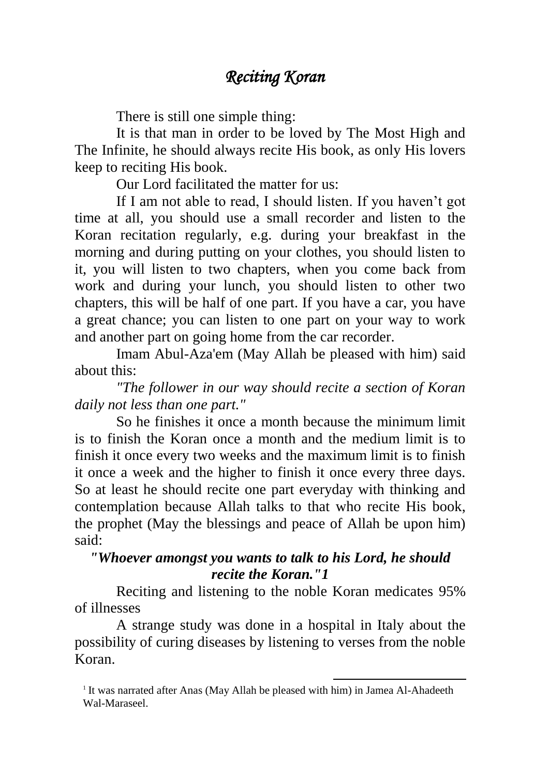## *Reciting Koran*

There is still one simple thing:

It is that man in order to be loved by The Most High and The Infinite, he should always recite His book, as only His lovers keep to reciting His book.

Our Lord facilitated the matter for us:

If I am not able to read, I should listen. If you haven't got time at all, you should use a small recorder and listen to the Koran recitation regularly, e.g. during your breakfast in the morning and during putting on your clothes, you should listen to it, you will listen to two chapters, when you come back from work and during your lunch, you should listen to other two chapters, this will be half of one part. If you have a car, you have a great chance; you can listen to one part on your way to work and another part on going home from the car recorder.

Imam Abul-Aza'em (May Allah be pleased with him) said about this:

*"The follower in our way should recite a section of Koran daily not less than one part."*

So he finishes it once a month because the minimum limit is to finish the Koran once a month and the medium limit is to finish it once every two weeks and the maximum limit is to finish it once a week and the higher to finish it once every three days. So at least he should recite one part everyday with thinking and contemplation because Allah talks to that who recite His book, the prophet (May the blessings and peace of Allah be upon him) said:

## *"Whoever amongst you wants to talk to his Lord, he should recite the Koran."1*

Reciting and listening to the noble Koran medicates 95% of illnesses

A strange study was done in a hospital in Italy about the possibility of curing diseases by listening to verses from the noble Koran.

1

<sup>&</sup>lt;sup>1</sup> It was narrated after Anas (May Allah be pleased with him) in Jamea Al-Ahadeeth Wal-Maraseel.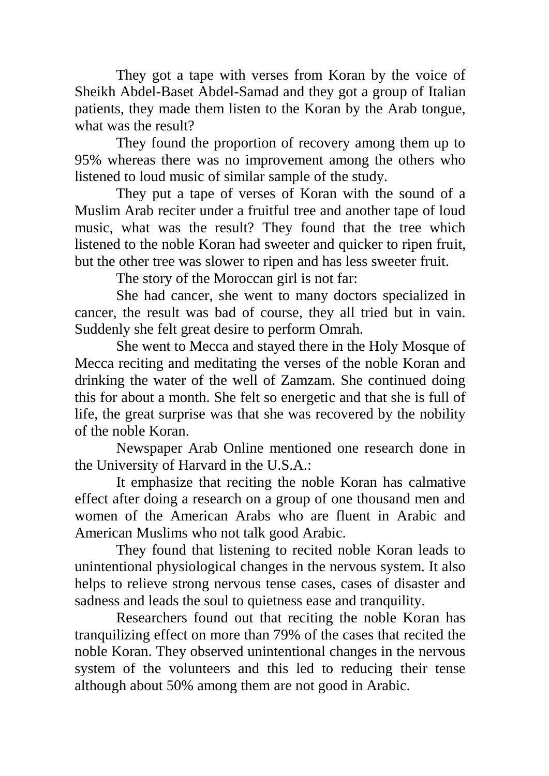They got a tape with verses from Koran by the voice of Sheikh Abdel-Baset Abdel-Samad and they got a group of Italian patients, they made them listen to the Koran by the Arab tongue, what was the result?

They found the proportion of recovery among them up to 95% whereas there was no improvement among the others who listened to loud music of similar sample of the study.

They put a tape of verses of Koran with the sound of a Muslim Arab reciter under a fruitful tree and another tape of loud music, what was the result? They found that the tree which listened to the noble Koran had sweeter and quicker to ripen fruit, but the other tree was slower to ripen and has less sweeter fruit.

The story of the Moroccan girl is not far:

She had cancer, she went to many doctors specialized in cancer, the result was bad of course, they all tried but in vain. Suddenly she felt great desire to perform Omrah.

She went to Mecca and stayed there in the Holy Mosque of Mecca reciting and meditating the verses of the noble Koran and drinking the water of the well of Zamzam. She continued doing this for about a month. She felt so energetic and that she is full of life, the great surprise was that she was recovered by the nobility of the noble Koran.

Newspaper Arab Online mentioned one research done in the University of Harvard in the U.S.A.:

It emphasize that reciting the noble Koran has calmative effect after doing a research on a group of one thousand men and women of the American Arabs who are fluent in Arabic and American Muslims who not talk good Arabic.

They found that listening to recited noble Koran leads to unintentional physiological changes in the nervous system. It also helps to relieve strong nervous tense cases, cases of disaster and sadness and leads the soul to quietness ease and tranquility.

Researchers found out that reciting the noble Koran has tranquilizing effect on more than 79% of the cases that recited the noble Koran. They observed unintentional changes in the nervous system of the volunteers and this led to reducing their tense although about 50% among them are not good in Arabic.